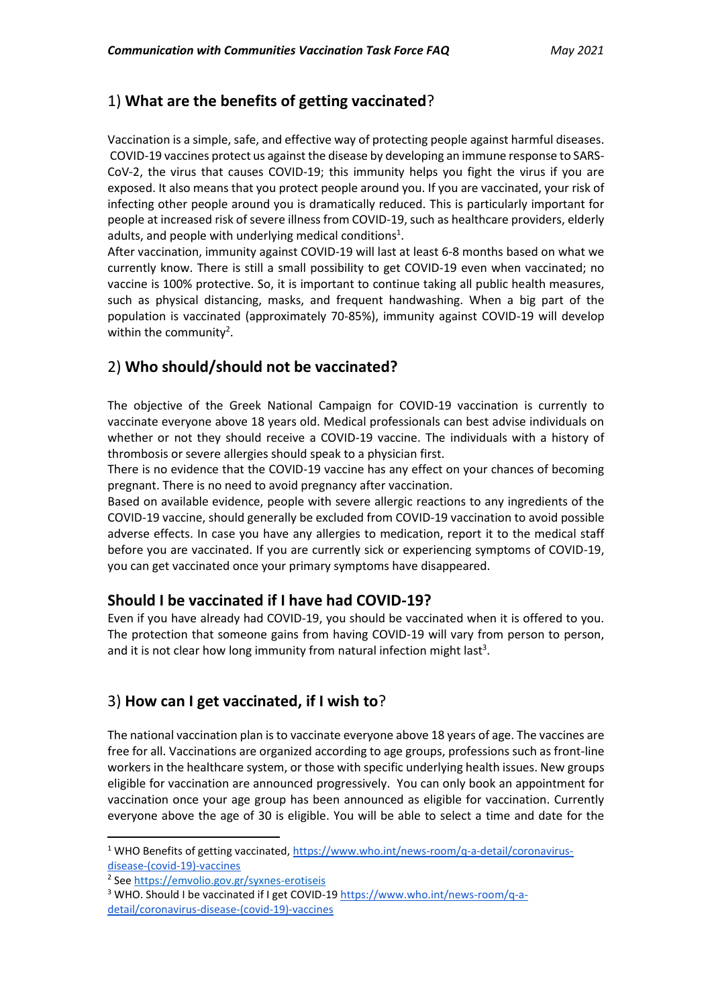# 1) **What are the benefits of getting vaccinated**?

Vaccination is a simple, safe, and effective way of protecting people against harmful diseases. COVID-19 vaccines protect us against the disease by developing an immune response to SARS-CoV-2, the virus that causes COVID-19; this immunity helps you fight the virus if you are exposed. It also means that you protect people around you. If you are vaccinated, your risk of infecting other people around you is dramatically reduced. This is particularly important for people at increased risk of severe illness from COVID-19, such as healthcare providers, elderly adults, and people with underlying medical conditions<sup>1</sup>.

After vaccination, immunity against COVID-19 will last at least 6-8 months based on what we currently know. There is still a small possibility to get COVID-19 even when vaccinated; no vaccine is 100% protective. So, it is important to continue taking all public health measures, such as physical distancing, masks, and frequent handwashing. When a big part of the population is vaccinated (approximately 70-85%), immunity against COVID-19 will develop within the community<sup>2</sup>[.](https://unhcr365-my.sharepoint.com/personal/gkeka_unhcr_org/Documents/Desktop/CwC.docx#_ftn2)

# 2) **Who should/should not be vaccinated?**

The objective of the Greek National Campaign for COVID-19 vaccination is currently to vaccinate everyone above 18 years old. Medical professionals can best advise individuals on whether or not they should receive a COVID-19 vaccine. The individuals with a history of thrombosis or severe allergies should speak to a physician first.

There is no evidence that the COVID-19 vaccine has any effect on your chances of becoming pregnant. There is no need to avoid pregnancy after vaccination.

Based on available evidence, people with severe allergic reactions to any ingredients of the COVID-19 vaccine, should generally be excluded from COVID-19 vaccination to avoid possible adverse effects. In case you have any allergies to medication, report it to the medical staff before you are vaccinated. If you are currently sick or experiencing symptoms of COVID-19, you can get vaccinated once your primary symptoms have disappeared.

### **Should I be vaccinated if I have had COVID-19?**

Even if you have already had COVID-19, you should be vaccinated when it is offered to you. The protection that someone gains from having COVID-19 will vary from person to person, and it is not clear how long immunity from natural infection might last<sup>3</sup>.

# 3) **How can I get vaccinated, if I wish to**?

The national vaccination plan is to vaccinate everyone above 18 years of age. The vaccines are free for all. Vaccinations are organized according to age groups, professions such as front-line workers in the healthcare system, or those with specific underlying health issues. New groups eligible for vaccination are announced progressively. You can only book an appointment for vaccination once your age group has been announced as eligible for vaccination. Currently everyone above the age of 30 is eligible. You will be able to select a time and date for the

<sup>&</sup>lt;sup>1</sup> WHO Benefits of getting vaccinate[d,](https://www.who.int/news-room/q-a-detail/coronavirus-disease-(covid-19)-vaccines) [https://www.who.int/news-room/q-a-detail/coronavirus](https://www.who.int/news-room/q-a-detail/coronavirus-disease-(covid-19)-vaccines)[disease-\(covid-19\)-vaccines](https://www.who.int/news-room/q-a-detail/coronavirus-disease-(covid-19)-vaccines)

<sup>&</sup>lt;sup>2</sup> See<https://emvolio.gov.gr/syxnes-erotiseis>

<sup>&</sup>lt;sup>3</sup> WHO. Should I be vaccinated if I get COVID-1[9](https://www.who.int/news-room/q-a-detail/coronavirus-disease-(covid-19)-vaccines) [https://www.who.int/news-room/q-a](https://www.who.int/news-room/q-a-detail/coronavirus-disease-(covid-19)-vaccines)[detail/coronavirus-disease-\(covid-19\)-vaccines](https://www.who.int/news-room/q-a-detail/coronavirus-disease-(covid-19)-vaccines)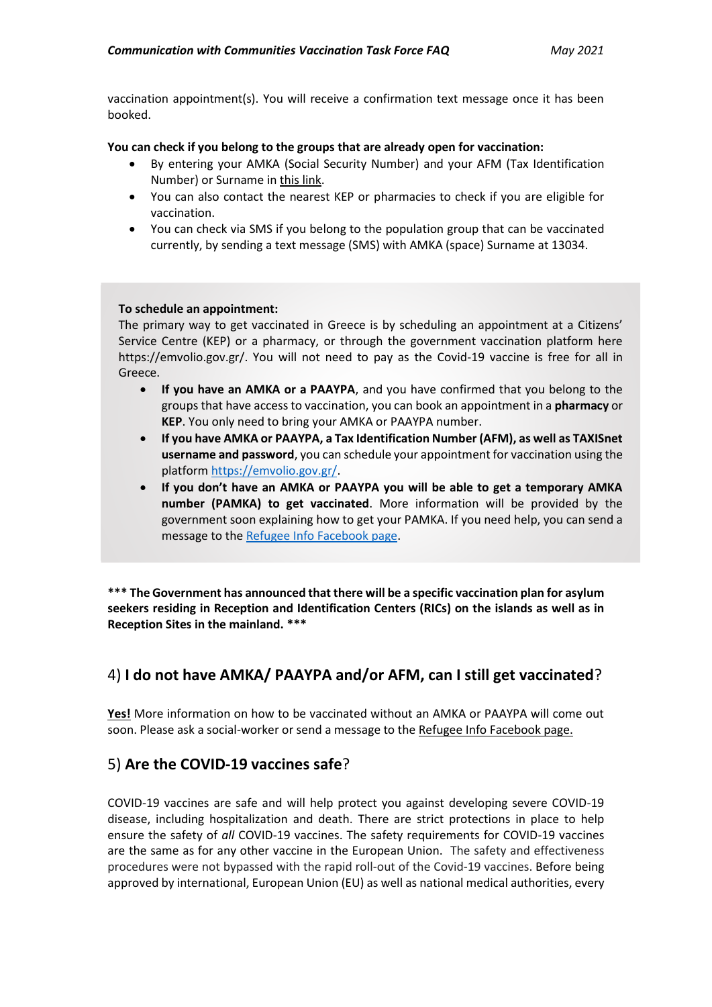vaccination appointment(s). You will receive a confirmation text message once it has been booked.

**You can check if you belong to the groups that are already open for vaccination:**

- By entering your AMKA (Social Security Number) and your AFM (Tax Identification Number) or Surname in [this link.](https://emvolio.gov.gr/eligibility)
- You can also contact the nearest KEP or pharmacies to check if you are eligible for vaccination.
- You can check via SMS if you belong to the population group that can be vaccinated currently, by sending a text message (SMS) with AMKA (space) Surname at 13034.

#### **To schedule an appointment:**

The primary way to get vaccinated in Greece is by scheduling an appointment at a Citizens' Service Centre (KEP) or a pharmacy, or through the government vaccination platform here [https://emvolio.gov.gr/.](https://emvolio.gov.gr/) You will not need to pay as the Covid-19 vaccine is free for all in Greece.

- **If you have an AMKA or a PAAYPA**, and you have confirmed that you belong to the groups that have access to vaccination, you can book an appointment in a **pharmacy** or **KEP**. You only need to bring your AMKA or PAAYPA number.
- **If you have AMKA or PAAYPA, a Tax Identification Number (AFM), as well as TAXISnet username and password**, you can schedule your appointment for vaccination using the platfor[m https://emvolio.gov.gr/.](https://emvolio.gov.gr/)
- **If you don't have an AMKA or PAAYPA you will be able to get a temporary AMKA number (PAMKA) to get vaccinated**. More information will be provided by the government soon explaining how to get your PAMKA. If you need help, you can send a message to the Refugee Info [Facebook page.](https://www.facebook.com/refugee.info/)

\*\*\* The Government has announced that there will be a specific vaccination plan for asylum **seekers residing in Reception and Identification Centers (RICs) on the islands as well as in Reception Sites in the mainland. \*\*\***

# 4) **I do not have AMKA/ PAAYPA and/or AFM, can I still get vaccinated**?

**Yes!** More information on how to be vaccinated without an AMKA or PAAYPA will come out soon. Please ask a social-worker or send a message to the Refugee Info [Facebook page.](https://www.facebook.com/refugee.info/)

### 5) **Are the COVID-19 vaccines safe**?

COVID-19 vaccines are safe and will help protect you against developing severe COVID-19 disease, including hospitalization and death. There are strict protections in place to help ensure the safety of *all* COVID-19 vaccines. The safety requirements for COVID-19 vaccines are the same as for any other vaccine in the European Union. The safety and effectiveness procedures were not bypassed with the rapid roll-out of the Covid-19 vaccines. Before being approved by international, European Union (EU) as well as national medical authorities, every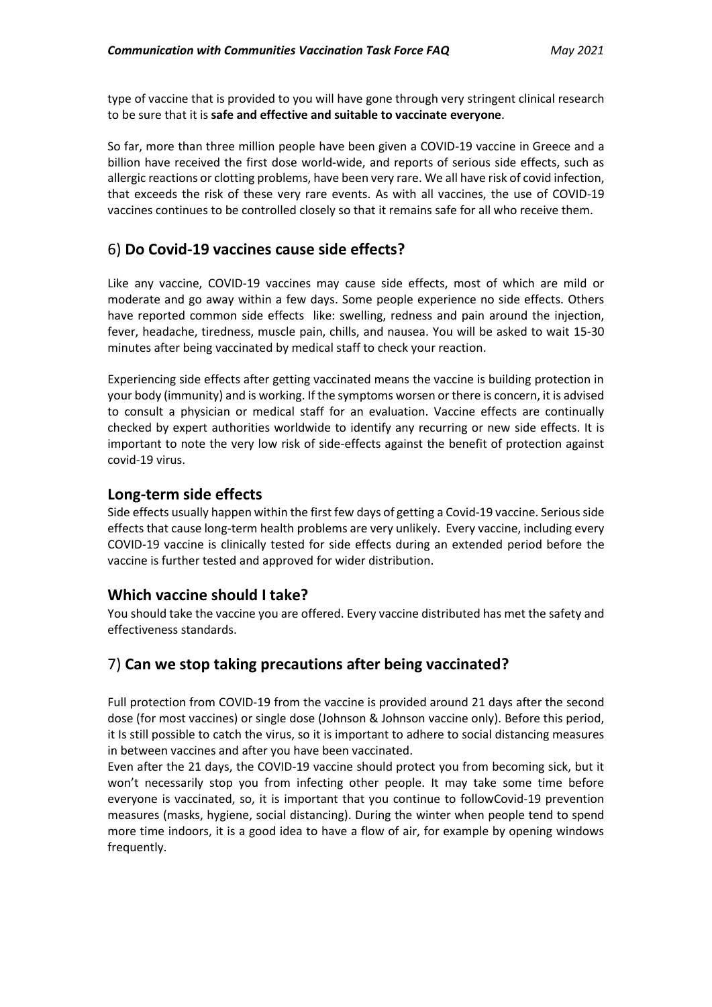type of vaccine that is provided to you will have gone through very stringent clinical research to be sure that it is **safe and effective and suitable to vaccinate everyone**.

So far, more than three million people have been given a COVID-19 vaccine in Greece and a billion have received the first dose world-wide, and reports of serious side effects, such as allergic reactions or clotting problems, have been very rare. We all have risk of covid infection, that exceeds the risk of these very rare events. As with all vaccines, the use of COVID-19 vaccines continues to be controlled closely so that it remains safe for all who receive them.

### 6) **Do Covid-19 vaccines cause side effects?**

Like any vaccine, COVID-19 vaccines may cause side effects, most of which are mild or moderate and go away within a few days. Some people experience no side effects. Others have reported common [side effects](https://www.cdc.gov/coronavirus/2019-ncov/vaccines/expect/after.html) like: swelling, redness and pain around the injection, fever, headache, tiredness, muscle pain, chills, and nausea. You will be asked to wait 15-30 minutes after being vaccinated by medical staff to check your reaction.

Experiencing side effects after getting vaccinated means the vaccine is building protection in your body (immunity) and is working. If the symptoms worsen or there is concern, it is advised to consult a physician or medical staff for an evaluation. Vaccine effects are continually checked by expert authorities worldwide to identify any recurring or new side effects. It is important to note the very low risk of side-effects against the benefit of protection against covid-19 virus.

#### **Long-term side effects**

Side effects usually happen within the first few days of getting a Covid-19 vaccine. Serious side effects that cause long-term health problems are very unlikely. Every vaccine, including every COVID-19 vaccine is clinically tested for side effects during an extended period before the vaccine is further tested and approved for wider distribution.

### **Which vaccine should I take?**

You should take the vaccine you are offered. Every vaccine distributed has met the safety and effectiveness standards.

### 7) **Can we stop taking precautions after being vaccinated?**

Full protection from COVID-19 from the vaccine is provided around 21 days after the second dose (for most vaccines) or single dose (Johnson & Johnson vaccine only). Before this period, it Is still possible to catch the virus, so it is important to adhere to social distancing measures in between vaccines and after you have been vaccinated.

Even after the 21 days, the COVID-19 vaccine should protect you from becoming sick, but it won't necessarily stop you from infecting other people. It may take some time before everyone is vaccinated, so, it is important that you continue to followCovid-19 prevention measures (masks, hygiene, social distancing). During the winter when people tend to spend more time indoors, it is a good idea to have a flow of air, for example by opening windows frequently.